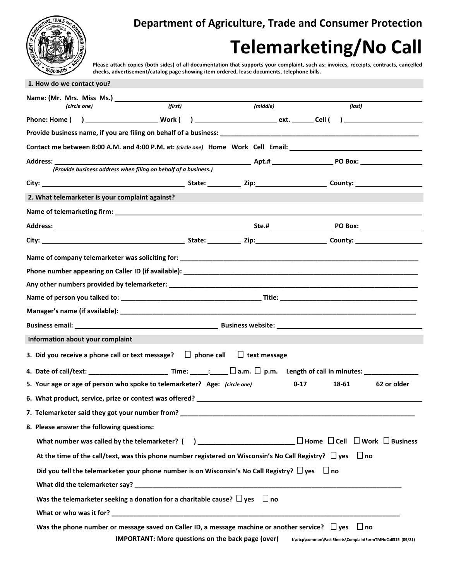

**1. How do we contact you?**

**Department of Agriculture, Trade and Consumer Protection**

## **Telemarketing/No Call**

 **Please attach copies (both sides) of all documentation that supports your complaint, such as: invoices, receipts, contracts, cancelled checks, advertisement/catalog page showing item ordered, lease documents, telephone bills.**

| (circle one)                                                                                                                                                                                                                   | (first)                                                  | (middle)            | (last)                                                      |             |
|--------------------------------------------------------------------------------------------------------------------------------------------------------------------------------------------------------------------------------|----------------------------------------------------------|---------------------|-------------------------------------------------------------|-------------|
|                                                                                                                                                                                                                                |                                                          |                     |                                                             |             |
|                                                                                                                                                                                                                                |                                                          |                     |                                                             |             |
| Contact me between 8:00 A.M. and 4:00 P.M. at: (circle one) Home Work Cell Email: __________________                                                                                                                           |                                                          |                     |                                                             |             |
|                                                                                                                                                                                                                                |                                                          |                     |                                                             |             |
| (Provide business address when filing on behalf of a business.)                                                                                                                                                                |                                                          |                     |                                                             |             |
| City: City: City: City: County: City: City: County: County: County: County: County: County: County: County: County: County: County: County: County: County: County: County: County: County: County: County: County: County: Co |                                                          |                     |                                                             |             |
| 2. What telemarketer is your complaint against?                                                                                                                                                                                |                                                          |                     |                                                             |             |
|                                                                                                                                                                                                                                |                                                          |                     |                                                             |             |
|                                                                                                                                                                                                                                |                                                          |                     |                                                             |             |
|                                                                                                                                                                                                                                |                                                          |                     |                                                             |             |
| Name of company telemarketer was soliciting for: Name of the Company of the Company of the Company of the Compa                                                                                                                |                                                          |                     |                                                             |             |
|                                                                                                                                                                                                                                |                                                          |                     |                                                             |             |
|                                                                                                                                                                                                                                |                                                          |                     |                                                             |             |
|                                                                                                                                                                                                                                |                                                          |                     |                                                             |             |
|                                                                                                                                                                                                                                |                                                          |                     |                                                             |             |
|                                                                                                                                                                                                                                |                                                          |                     |                                                             |             |
| Information about your complaint                                                                                                                                                                                               |                                                          |                     |                                                             |             |
| 3. Did you receive a phone call or text message? $\quad \Box$ phone call                                                                                                                                                       |                                                          | $\Box$ text message |                                                             |             |
| 4.  Date of call/text: __________________________________ Time: ______: ______ $\Box$ a.m. $\Box$ p.m.    Length of call in minutes: _____                                                                                     |                                                          |                     |                                                             |             |
| 5. Your age or age of person who spoke to telemarketer? Age: (circle one)                                                                                                                                                      |                                                          |                     | $0 - 17$<br>18-61                                           | 62 or older |
| 6. What product, service, prize or contest was offered? ________________________                                                                                                                                               |                                                          |                     |                                                             |             |
| 7. Telemarketer said they got your number from?                                                                                                                                                                                |                                                          |                     |                                                             |             |
| 8. Please answer the following questions:                                                                                                                                                                                      |                                                          |                     |                                                             |             |
|                                                                                                                                                                                                                                |                                                          |                     |                                                             |             |
| At the time of the call/text, was this phone number registered on Wisconsin's No Call Registry? $\Box$ yes $\Box$ no                                                                                                           |                                                          |                     |                                                             |             |
| Did you tell the telemarketer your phone number is on Wisconsin's No Call Registry? $\square$ yes $\square$ no                                                                                                                 |                                                          |                     |                                                             |             |
|                                                                                                                                                                                                                                |                                                          |                     |                                                             |             |
| Was the telemarketer seeking a donation for a charitable cause? $\Box$ yes $\Box$ no                                                                                                                                           |                                                          |                     |                                                             |             |
|                                                                                                                                                                                                                                |                                                          |                     |                                                             |             |
| Was the phone number or message saved on Caller ID, a message machine or another service? $\Box$ yes $\Box$ no                                                                                                                 |                                                          |                     |                                                             |             |
|                                                                                                                                                                                                                                | <b>IMPORTANT: More questions on the back page (over)</b> |                     | I:\dtcp\common\Fact Sheets\ComplaintFormTMNoCall315 (09/21) |             |